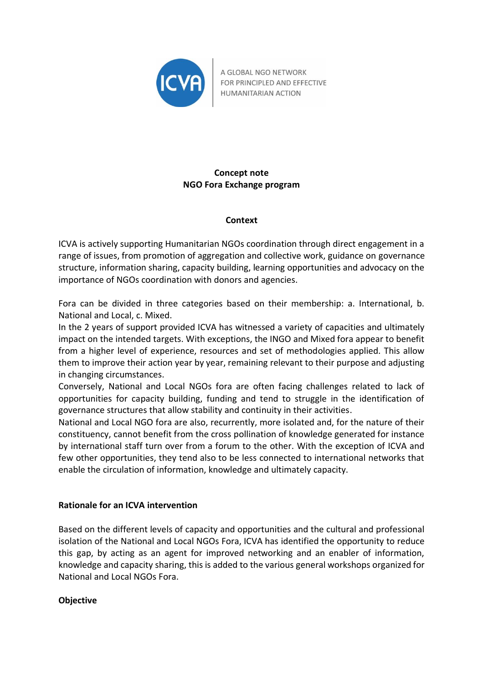

A GLOBAL NGO NETWORK FOR PRINCIPLED AND EFFECTIVE HUMANITARIAN ACTION

# **Concept note NGO Fora Exchange program**

### **Context**

ICVA is actively supporting Humanitarian NGOs coordination through direct engagement in a range of issues, from promotion of aggregation and collective work, guidance on governance structure, information sharing, capacity building, learning opportunities and advocacy on the importance of NGOs coordination with donors and agencies.

Fora can be divided in three categories based on their membership: a. International, b. National and Local, c. Mixed.

In the 2 years of support provided ICVA has witnessed a variety of capacities and ultimately impact on the intended targets. With exceptions, the INGO and Mixed fora appear to benefit from a higher level of experience, resources and set of methodologies applied. This allow them to improve their action year by year, remaining relevant to their purpose and adjusting in changing circumstances.

Conversely, National and Local NGOs fora are often facing challenges related to lack of opportunities for capacity building, funding and tend to struggle in the identification of governance structures that allow stability and continuity in their activities.

National and Local NGO fora are also, recurrently, more isolated and, for the nature of their constituency, cannot benefit from the cross pollination of knowledge generated for instance by international staff turn over from a forum to the other. With the exception of ICVA and few other opportunities, they tend also to be less connected to international networks that enable the circulation of information, knowledge and ultimately capacity.

### **Rationale for an ICVA intervention**

Based on the different levels of capacity and opportunities and the cultural and professional isolation of the National and Local NGOs Fora, ICVA has identified the opportunity to reduce this gap, by acting as an agent for improved networking and an enabler of information, knowledge and capacity sharing, this is added to the various general workshops organized for National and Local NGOs Fora.

#### **Objective**